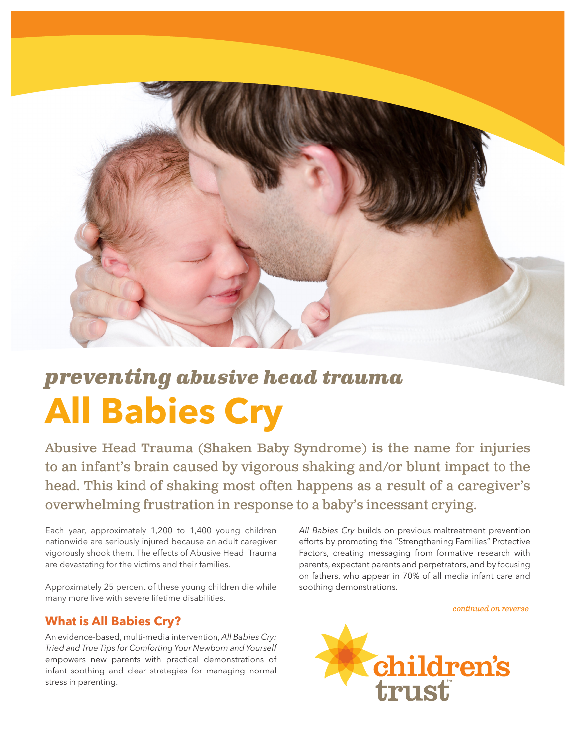

# **All Babies Cry** *preventing abusive head trauma*

Abusive Head Trauma (Shaken Baby Syndrome) is the name for injuries to an infant's brain caused by vigorous shaking and/or blunt impact to the head. This kind of shaking most often happens as a result of a caregiver's overwhelming frustration in response to a baby's incessant crying.

Each year, approximately 1,200 to 1,400 young children nationwide are seriously injured because an adult caregiver vigorously shook them. The effects of Abusive Head Trauma are devastating for the victims and their families.

Approximately 25 percent of these young children die while many more live with severe lifetime disabilities.

### **What is All Babies Cry?**

An evidence-based, multi-media intervention, *All Babies Cry: Tried and True Tips for Comforting Your Newborn and Yourself*  empowers new parents with practical demonstrations of infant soothing and clear strategies for managing normal stress in parenting.

*All Babies Cry* builds on previous maltreatment prevention efforts by promoting the "Strengthening Families" Protective Factors, creating messaging from formative research with parents, expectant parents and perpetrators, and by focusing on fathers, who appear in 70% of all media infant care and soothing demonstrations.

*continued on reverse*